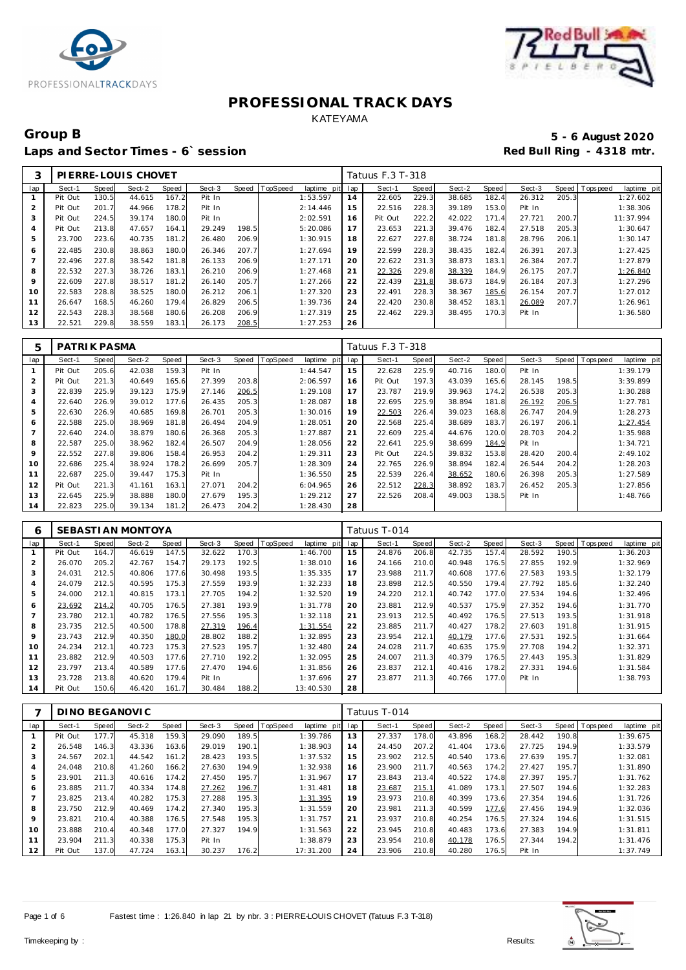



### Group B<br> **Example 2020**<br>
Laps and Sector Times - 6`session<br> **Example 2020**<br>
Red Bull Ring - 4318 mtr. Laps and Sector Times - 6`session

|         |         |       | PLERRE-LOUIS CHOVET |       |        |       |          |             |     | Tatuus F.3 T-318 |       |        |       |        |       |          |             |
|---------|---------|-------|---------------------|-------|--------|-------|----------|-------------|-----|------------------|-------|--------|-------|--------|-------|----------|-------------|
| lap     | Sect-1  | Speed | Sect-2              | Speed | Sect-3 | Speed | TopSpeed | laptime pit | lap | Sect-1           | Speed | Sect-2 | Speed | Sect-3 | Speed | Topspeed | laptime pit |
|         | Pit Out | 130.5 | 44.615              | 167.2 | Pit In |       |          | 1:53.597    | 14  | 22.605           | 229.3 | 38.685 | 182.4 | 26.312 | 205.3 |          | 1:27.602    |
| 2       | Pit Out | 201.7 | 44.966              | 178.2 | Pit In |       |          | 2:14.446    | 15  | 22.516           | 228.3 | 39.189 | 153.0 | Pit In |       |          | 1:38.306    |
| 3       | Pit Out | 224.5 | 39.174              | 180.0 | Pit In |       |          | 2:02.591    | 16  | Pit Out          | 222.2 | 42.022 | 171.4 | 27.721 | 200.7 |          | 11:37.994   |
| 4       | Pit Out | 213.8 | 47.657              | 164.1 | 29.249 | 198.5 |          | 5:20.086    | 17  | 23.653           | 221.3 | 39.476 | 182.4 | 27.518 | 205.3 |          | 1:30.647    |
| 5       | 23.700  | 223.6 | 40.735              | 181.2 | 26.480 | 206.9 |          | 1:30.915    | 18  | 22.627           | 227.8 | 38.724 | 181.8 | 28.796 | 206.1 |          | 1:30.147    |
| 6       | 22.485  | 230.8 | 38.863              | 180.0 | 26.346 | 207.7 |          | 1:27.694    | 19  | 22.599           | 228.3 | 38.435 | 182.4 | 26.391 | 207.3 |          | 1:27.425    |
|         | 22.496  | 227.8 | 38.542              | 181.8 | 26.133 | 206.9 |          | 1:27.171    | 20  | 22.622           | 231.3 | 38.873 | 183.1 | 26.384 | 207.7 |          | 1:27.879    |
| 8       | 22.532  | 227.3 | 38.726              | 183.1 | 26.210 | 206.9 |          | 1:27.468    | 21  | 22.326           | 229.8 | 38.339 | 184.9 | 26.175 | 207.7 |          | 1:26.840    |
| $\circ$ | 22.609  | 227.8 | 38.517              | 181.2 | 26.140 | 205.7 |          | 1:27.266    | 22  | 22.439           | 231.8 | 38.673 | 184.9 | 26.184 | 207.3 |          | 1:27.296    |
| 10      | 22.583  | 228.8 | 38.525              | 180.0 | 26.212 | 206.1 |          | 1:27.320    | 23  | 22.491           | 228.3 | 38.367 | 185.6 | 26.154 | 207.7 |          | 1:27.012    |
| 11      | 26.647  | 168.5 | 46.260              | 179.4 | 26.829 | 206.5 |          | 1:39.736    | 24  | 22.420           | 230.8 | 38.452 | 183.1 | 26.089 | 207.7 |          | 1:26.961    |
| 12      | 22.543  | 228.3 | 38.568              | 180.6 | 26.208 | 206.9 |          | 1:27.319    | 25  | 22.462           | 229.3 | 38.495 | 170.3 | Pit In |       |          | 1:36.580    |
| 13      | 22.521  | 229.8 | 38.559              | 183.1 | 26.173 | 208.5 |          | 1:27.253    | 26  |                  |       |        |       |        |       |          |             |

| 5   | PATRIK PASMA |       |        |       |        |       |                |             |     | Tatuus F.3 T-318 |       |        |       |        |       |                  |             |
|-----|--------------|-------|--------|-------|--------|-------|----------------|-------------|-----|------------------|-------|--------|-------|--------|-------|------------------|-------------|
| lap | Sect-1       | Speed | Sect-2 | Speed | Sect-3 |       | Speed TopSpeed | laptime pit | lap | Sect-1           | Speed | Sect-2 | Speed | Sect-3 |       | Speed   Topspeed | laptime pit |
|     | Pit Out      | 205.6 | 42.038 | 159.3 | Pit In |       |                | 1:44.547    | 15  | 22.628           | 225.9 | 40.716 | 180.0 | Pit In |       |                  | 1:39.179    |
| 2   | Pit Out      | 221.3 | 40.649 | 165.6 | 27.399 | 203.8 |                | 2:06.597    | 16  | Pit Out          | 197.3 | 43.039 | 165.6 | 28.145 | 198.5 |                  | 3:39.899    |
| 3   | 22.839       | 225.9 | 39.123 | 175.9 | 27.146 | 206.5 |                | 1:29.108    | 17  | 23.787           | 219.9 | 39.963 | 174.2 | 26.538 | 205.3 |                  | 1:30.288    |
| 4   | 22.640       | 226.9 | 39.012 | 177.6 | 26.435 | 205.3 |                | 1:28.087    | 18  | 22.695           | 225.9 | 38.894 | 181.8 | 26.192 | 206.5 |                  | 1:27.781    |
| 5   | 22.630       | 226.9 | 40.685 | 169.8 | 26.701 | 205.3 |                | 1:30.016    | 19  | 22.503           | 226.4 | 39.023 | 168.8 | 26.747 | 204.9 |                  | 1:28.273    |
| 6   | 22.588       | 225.0 | 38.969 | 181.8 | 26.494 | 204.9 |                | 1:28.051    | 20  | 22.568           | 225.4 | 38.689 | 183.7 | 26.197 | 206.1 |                  | 1:27.454    |
|     | 22.640       | 224.0 | 38.879 | 180.6 | 26.368 | 205.3 |                | 1:27.887    | 21  | 22.609           | 225.4 | 44.676 | 120.0 | 28.703 | 204.2 |                  | 1:35.988    |
| 8   | 22.587       | 225.0 | 38.962 | 182.4 | 26.507 | 204.9 |                | 1:28.056    | 22  | 22.641           | 225.9 | 38.699 | 184.9 | Pit In |       |                  | 1:34.721    |
| 9   | 22.552       | 227.8 | 39.806 | 158.4 | 26.953 | 204.2 |                | 1:29.311    | 23  | Pit Out          | 224.5 | 39.832 | 153.8 | 28.420 | 200.4 |                  | 2:49.102    |
| 10  | 22.686       | 225.4 | 38.924 | 178.2 | 26.699 | 205.7 |                | 1:28.309    | 24  | 22.765           | 226.9 | 38.894 | 182.4 | 26.544 | 204.2 |                  | 1:28.203    |
| 11  | 22.687       | 225.0 | 39.447 | 175.3 | Pit In |       |                | 1:36.550    | 25  | 22.539           | 226.4 | 38.652 | 180.6 | 26.398 | 205.3 |                  | 1:27.589    |
| 12  | Pit Out      | 221.3 | 41.161 | 163.1 | 27.071 | 204.2 |                | 6:04.965    | 26  | 22.512           | 228.3 | 38.892 | 183.7 | 26.452 | 205.3 |                  | 1:27.856    |
| 13  | 22.645       | 225.9 | 38.888 | 180.0 | 27.679 | 195.3 |                | 1:29.212    | 27  | 22.526           | 208.4 | 49.003 | 138.5 | Pit In |       |                  | 1:48.766    |
| 14  | 22.823       | 225.0 | 39.134 | 181.2 | 26.473 | 204.2 |                | 1:28.430    | 28  |                  |       |        |       |        |       |                  |             |

| 6              |         |       | SEBASTIAN MONTOYA |       |        |       |                  |             |     | Tatuus T-014 |       |        |       |        |       |                |             |
|----------------|---------|-------|-------------------|-------|--------|-------|------------------|-------------|-----|--------------|-------|--------|-------|--------|-------|----------------|-------------|
| lap            | Sect-1  | Speed | Sect-2            | Speed | Sect-3 |       | Speed   TopSpeed | laptime pit | lap | Sect-1       | Speed | Sect-2 | Speed | Sect-3 |       | Speed Topspeed | laptime pit |
|                | Pit Out | 164.7 | 46.619            | 147.5 | 32.622 | 170.3 |                  | 1:46.700    | 15  | 24.876       | 206.8 | 42.735 | 157.4 | 28.592 | 190.5 |                | 1:36.203    |
| $\overline{2}$ | 26.070  | 205.2 | 42.767            | 154.7 | 29.173 | 192.5 |                  | 1:38.010    | 16  | 24.166       | 210.0 | 40.948 | 176.5 | 27.855 | 192.9 |                | 1:32.969    |
| 3              | 24.031  | 212.5 | 40.806            | 177.6 | 30.498 | 193.5 |                  | 1:35.335    | 17  | 23.988       | 211.7 | 40.608 | 177.6 | 27.583 | 193.5 |                | 1:32.179    |
| $\overline{4}$ | 24.079  | 212.5 | 40.595            | 175.3 | 27.559 | 193.9 |                  | 1:32.233    | 18  | 23.898       | 212.5 | 40.550 | 179.4 | 27.792 | 185.6 |                | 1:32.240    |
| 5              | 24.000  | 212.1 | 40.815            | 173.1 | 27.705 | 194.2 |                  | 1:32.520    | 19  | 24.220       | 212.1 | 40.742 | 177.0 | 27.534 | 194.6 |                | 1:32.496    |
| 6              | 23.692  | 214.2 | 40.705            | 176.5 | 27.381 | 193.9 |                  | 1:31.778    | 20  | 23.881       | 212.9 | 40.537 | 175.9 | 27.352 | 194.6 |                | 1:31.770    |
|                | 23.780  | 212.1 | 40.782            | 176.5 | 27.556 | 195.3 |                  | 1:32.118    | 21  | 23.913       | 212.5 | 40.492 | 176.5 | 27.513 | 193.5 |                | 1:31.918    |
| 8              | 23.735  | 212.5 | 40.500            | 178.8 | 27.319 | 196.4 |                  | 1:31.554    | 22  | 23.885       | 211.7 | 40.427 | 178.2 | 27.603 | 191.8 |                | 1:31.915    |
| 9              | 23.743  | 212.9 | 40.350            | 180.0 | 28.802 | 188.2 |                  | 1:32.895    | 23  | 23.954       | 212.1 | 40.179 | 177.6 | 27.531 | 192.5 |                | 1:31.664    |
| 10             | 24.234  | 212.1 | 40.723            | 175.3 | 27.523 | 195.7 |                  | 1:32.480    | 24  | 24.028       | 211.7 | 40.635 | 175.9 | 27.708 | 194.2 |                | 1:32.371    |
| 11             | 23.882  | 212.9 | 40.503            | 177.6 | 27.710 | 192.2 |                  | 1:32.095    | 25  | 24.007       | 211.3 | 40.379 | 176.5 | 27.443 | 195.3 |                | 1:31.829    |
| 12             | 23.797  | 213.4 | 40.589            | 177.6 | 27.470 | 194.6 |                  | 1:31.856    | 26  | 23.837       | 212.1 | 40.416 | 178.2 | 27.331 | 194.6 |                | 1:31.584    |
| 13             | 23.728  | 213.8 | 40.620            | 179.4 | Pit In |       |                  | 1:37.696    | 27  | 23.877       | 211.3 | 40.766 | 177.0 | Pit In |       |                | 1:38.793    |
| 14             | Pit Out | 150.6 | 46.420            | 161.7 | 30.484 | 188.2 |                  | 13:40.530   | 28  |              |       |        |       |        |       |                |             |

|     |         |       | DINO BEGANOVIC |       |        |       |          |             |     | Tatuus T-014 |       |        |       |        |       |            |             |
|-----|---------|-------|----------------|-------|--------|-------|----------|-------------|-----|--------------|-------|--------|-------|--------|-------|------------|-------------|
| lap | Sect-1  | Speed | Sect-2         | Speed | Sect-3 | Speed | TopSpeed | laptime pit | lap | Sect-1       | Speed | Sect-2 | Speed | Sect-3 | Speed | T ops peed | laptime pit |
|     | Pit Out | 177.7 | 45.318         | 159.3 | 29.090 | 189.5 |          | 1:39.786    | 13  | 27.337       | 178.0 | 43.896 | 168.2 | 28.442 | 190.8 |            | 1:39.675    |
|     | 26.548  | 146.3 | 43.336         | 163.6 | 29.019 | 190.1 |          | 1:38.903    | 14  | 24.450       | 207.2 | 41.404 | 173.6 | 27.725 | 194.9 |            | 1:33.579    |
| 3   | 24.567  | 202.1 | 44.542         | 161.2 | 28.423 | 193.5 |          | 1:37.532    | 15  | 23.902       | 212.5 | 40.540 | 173.6 | 27.639 | 195.7 |            | 1:32.081    |
| 4   | 24.048  | 210.8 | 41.260         | 166.2 | 27.630 | 194.9 |          | 1:32.938    | 16  | 23.900       | 211.7 | 40.563 | 174.2 | 27.427 | 195.7 |            | 1:31.890    |
| 5   | 23.901  | 211.3 | 40.616         | 174.2 | 27.450 | 195.7 |          | 1:31.967    | 17  | 23.843       | 213.4 | 40.522 | 174.8 | 27.397 | 195.7 |            | 1:31.762    |
| 6   | 23.885  | 211.7 | 40.334         | 174.8 | 27.262 | 196.7 |          | 1:31.481    | 18  | 23.687       | 215.1 | 41.089 | 173.1 | 27.507 | 194.6 |            | 1:32.283    |
|     | 23.825  | 213.4 | 40.282         | 175.3 | 27.288 | 195.3 |          | 1:31.395    | 19  | 23.973       | 210.8 | 40.399 | 173.6 | 27.354 | 194.6 |            | 1:31.726    |
| 8   | 23.750  | 212.9 | 40.469         | 174.2 | 27.340 | 195.3 |          | 1:31.559    | 20  | 23.981       | 211.3 | 40.599 | 177.6 | 27.456 | 194.9 |            | 1:32.036    |
| 9   | 23.821  | 210.4 | 40.388         | 176.5 | 27.548 | 195.3 |          | 1:31.757    | 21  | 23.937       | 210.8 | 40.254 | 176.5 | 27.324 | 194.6 |            | 1:31.515    |
| 10  | 23.888  | 210.4 | 40.348         | 177.0 | 27.327 | 194.9 |          | 1:31.563    | 22  | 23.945       | 210.8 | 40.483 | 173.6 | 27.383 | 194.9 |            | 1:31.811    |
| 11  | 23.904  | 211.3 | 40.338         | 175.3 | Pit In |       |          | 1:38.879    | 23  | 23.954       | 210.8 | 40.178 | 176.5 | 27.344 | 194.2 |            | 1:31.476    |
| 12  | Pit Out | 137.0 | 47.724         | 163.1 | 30.237 | 176.2 |          | 17:31.200   | 24  | 23.906       | 210.8 | 40.280 | 176.5 | Pit In |       |            | 1:37.749    |

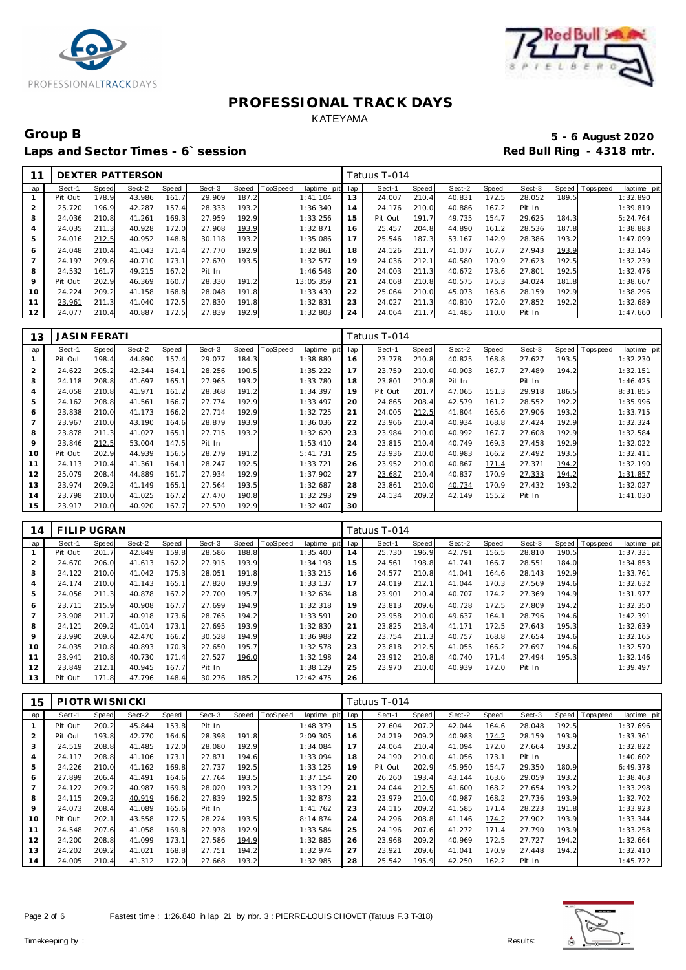



### Group B<br> **5 - 6 August 2020**<br>
Laps and Sector Times - 6`session<br> **5 - 6 August 2020** Laps and Sector Times - 6' session

|                |         |       | DEXTER PATTERSON |       |        |       |          |                 |     | Tatuus T-014 |       |        |       |        |       |                |             |
|----------------|---------|-------|------------------|-------|--------|-------|----------|-----------------|-----|--------------|-------|--------|-------|--------|-------|----------------|-------------|
| lap            | Sect-1  | Speed | Sect-2           | Speed | Sect-3 | Speed | TopSpeed | laptime<br>pitl | lap | Sect-1       | Speed | Sect-2 | Speed | Sect-3 |       | Speed Topspeed | laptime pit |
|                | Pit Out | 178.9 | 43.986           | 161.7 | 29.909 | 187.2 |          | 1:41.104        | 13  | 24.007       | 210.4 | 40.831 | 172.5 | 28.052 | 189.5 |                | 1:32.890    |
| 2              | 25.720  | 196.9 | 42.287           | 157.4 | 28.333 | 193.2 |          | 1:36.340        | 14  | 24.176       | 210.0 | 40.886 | 167.2 | Pit In |       |                | 1:39.819    |
| 3              | 24.036  | 210.8 | 41.261           | 169.3 | 27.959 | 192.9 |          | 1:33.256        | 15  | Pit Out      | 191.7 | 49.735 | 154.7 | 29.625 | 184.3 |                | 5:24.764    |
| $\overline{A}$ | 24.035  | 211.3 | 40.928           | 172.0 | 27.908 | 193.9 |          | 1:32.871        | 16  | 25.457       | 204.8 | 44.890 | 161.2 | 28.536 | 187.8 |                | 1:38.883    |
| 5              | 24.016  | 212.5 | 40.952           | 148.8 | 30.118 | 193.2 |          | 1:35.086        | 17  | 25.546       | 187.3 | 53.167 | 142.9 | 28.386 | 193.2 |                | 1:47.099    |
| 6              | 24.048  | 210.4 | 41.043           | 171.4 | 27.770 | 192.9 |          | 1:32.861        | 18  | 24.126       | 211.7 | 41.077 | 167.7 | 27.943 | 193.9 |                | 1:33.146    |
|                | 24.197  | 209.6 | 40.710           | 173.1 | 27.670 | 193.5 |          | 1:32.577        | 19  | 24.036       | 212.1 | 40.580 | 170.9 | 27.623 | 192.5 |                | 1:32.239    |
| 8              | 24.532  | 161.7 | 49.215           | 167.2 | Pit In |       |          | 1:46.548        | 20  | 24.003       | 211.3 | 40.672 | 173.6 | 27.801 | 192.5 |                | 1:32.476    |
| 9              | Pit Out | 202.9 | 46.369           | 160.7 | 28.330 | 191.2 |          | 13:05.359       | 21  | 24.068       | 210.8 | 40.575 | 175.3 | 34.024 | 181.8 |                | 1:38.667    |
| 10             | 24.224  | 209.2 | 41.158           | 168.8 | 28.048 | 191.8 |          | 1:33.430        | 22  | 25.064       | 210.0 | 45.073 | 163.6 | 28.159 | 192.9 |                | 1:38.296    |
| 11             | 23.961  | 211.3 | 41.040           | 172.5 | 27.830 | 191.8 |          | 1:32.831        | 23  | 24.027       | 211.3 | 40.810 | 172.0 | 27.852 | 192.2 |                | 1:32.689    |
| 12             | 24.077  | 210.4 | 40.887           | 172.5 | 27.839 | 192.9 |          | 1:32.803        | 24  | 24.064       | 211.7 | 41.485 | 110.0 | Pit In |       |                | 1:47.660    |

| 13             | JASI N FERATI |       |        |       |        |       |          |                |     | Tatuus T-014 |       |        |       |        |       |          |             |
|----------------|---------------|-------|--------|-------|--------|-------|----------|----------------|-----|--------------|-------|--------|-------|--------|-------|----------|-------------|
| lap            | Sect-1        | Speed | Sect-2 | Speed | Sect-3 | Speed | TopSpeed | laptime<br>pit | lap | Sect-1       | Speed | Sect-2 | Speed | Sect-3 | Speed | Topspeed | laptime pit |
|                | Pit Out       | 198.4 | 44.890 | 157.4 | 29.077 | 184.3 |          | 1:38.880       | 16  | 23.778       | 210.8 | 40.825 | 168.8 | 27.627 | 193.5 |          | 1:32.230    |
| $\overline{2}$ | 24.622        | 205.2 | 42.344 | 164.1 | 28.256 | 190.5 |          | 1:35.222       | 17  | 23.759       | 210.0 | 40.903 | 167.7 | 27.489 | 194.2 |          | 1:32.151    |
| 3              | 24.118        | 208.8 | 41.697 | 165.1 | 27.965 | 193.2 |          | 1:33.780       | 18  | 23.801       | 210.8 | Pit In |       | Pit In |       |          | 1:46.425    |
| 4              | 24.058        | 210.8 | 41.971 | 161.2 | 28.368 | 191.2 |          | 1:34.397       | 19  | Pit Out      | 201.7 | 47.065 | 151.3 | 29.918 | 186.5 |          | 8:31.855    |
| 5              | 24.162        | 208.8 | 41.561 | 166.7 | 27.774 | 192.9 |          | 1:33.497       | 20  | 24.865       | 208.4 | 42.579 | 161.2 | 28.552 | 192.2 |          | 1:35.996    |
| 6              | 23.838        | 210.0 | 41.173 | 166.2 | 27.714 | 192.9 |          | 1:32.725       | 21  | 24.005       | 212.5 | 41.804 | 165.6 | 27.906 | 193.2 |          | 1:33.715    |
| $\overline{7}$ | 23.967        | 210.0 | 43.190 | 164.6 | 28.879 | 193.9 |          | 1:36.036       | 22  | 23.966       | 210.4 | 40.934 | 168.8 | 27.424 | 192.9 |          | 1:32.324    |
| 8              | 23.878        | 211.3 | 41.027 | 165.1 | 27.715 | 193.2 |          | 1:32.620       | 23  | 23.984       | 210.0 | 40.992 | 167.7 | 27.608 | 192.9 |          | 1:32.584    |
| 9              | 23.846        | 212.5 | 53.004 | 147.5 | Pit In |       |          | 1:53.410       | 24  | 23.815       | 210.4 | 40.749 | 169.3 | 27.458 | 192.9 |          | 1:32.022    |
| 10             | Pit Out       | 202.9 | 44.939 | 156.5 | 28.279 | 191.2 |          | 5:41.731       | 25  | 23.936       | 210.0 | 40.983 | 166.2 | 27.492 | 193.5 |          | 1:32.411    |
| 11             | 24.113        | 210.4 | 41.361 | 164.1 | 28.247 | 192.5 |          | 1:33.721       | 26  | 23.952       | 210.0 | 40.867 | 171.4 | 27.371 | 194.2 |          | 1:32.190    |
| 12             | 25.079        | 208.4 | 44.889 | 161.7 | 27.934 | 192.9 |          | 1:37.902       | 27  | 23.687       | 210.4 | 40.837 | 170.9 | 27.333 | 194.2 |          | 1:31.857    |
| 13             | 23.974        | 209.2 | 41.149 | 165.1 | 27.564 | 193.5 |          | 1:32.687       | 28  | 23.861       | 210.0 | 40.734 | 170.9 | 27.432 | 193.2 |          | 1:32.027    |
| 14             | 23.798        | 210.0 | 41.025 | 167.2 | 27.470 | 190.8 |          | 1:32.293       | 29  | 24.134       | 209.2 | 42.149 | 155.2 | Pit In |       |          | 1:41.030    |
| 15             | 23.917        | 210.0 | 40.920 | 167.7 | 27.570 | 192.9 |          | 1:32.407       | 30  |              |       |        |       |        |       |          |             |

| 14                       | FILIP UGRAN |       |        |       |        |       |          |             |     | Tatuus T-014 |       |        |       |        |       |                |             |
|--------------------------|-------------|-------|--------|-------|--------|-------|----------|-------------|-----|--------------|-------|--------|-------|--------|-------|----------------|-------------|
| lap                      | Sect-1      | Speed | Sect-2 | Speed | Sect-3 | Speed | TopSpeed | laptime pit | lap | Sect-1       | Speed | Sect-2 | Speed | Sect-3 |       | Speed Topspeed | laptime pit |
|                          | Pit Out     | 201.7 | 42.849 | 159.8 | 28.586 | 188.8 |          | 1:35.400    | 14  | 25.730       | 196.9 | 42.791 | 156.5 | 28.810 | 190.5 |                | 1:37.331    |
|                          | 24.670      | 206.0 | 41.613 | 162.2 | 27.915 | 193.9 |          | 1:34.198    | 15  | 24.561       | 198.8 | 41.741 | 166.7 | 28.551 | 184.0 |                | 1:34.853    |
| 3                        | 24.122      | 210.0 | 41.042 | 175.3 | 28.051 | 191.8 |          | 1:33.215    | 16  | 24.577       | 210.8 | 41.041 | 164.6 | 28.143 | 192.9 |                | 1:33.761    |
| $\overline{4}$           | 24.174      | 210.0 | 41.143 | 165.1 | 27.820 | 193.9 |          | 1:33.137    | 17  | 24.019       | 212.1 | 41.044 | 170.3 | 27.569 | 194.6 |                | 1:32.632    |
| 5                        | 24.056      | 211.3 | 40.878 | 167.2 | 27.700 | 195.7 |          | 1:32.634    | 18  | 23.901       | 210.4 | 40.707 | 174.2 | 27.369 | 194.9 |                | 1:31.977    |
| 6                        | 23.711      | 215.9 | 40.908 | 167.7 | 27.699 | 194.9 |          | 1:32.318    | 19  | 23.813       | 209.6 | 40.728 | 172.5 | 27.809 | 194.2 |                | 1:32.350    |
| $\overline{\phantom{a}}$ | 23.908      | 211.7 | 40.918 | 173.6 | 28.765 | 194.2 |          | 1:33.591    | 20  | 23.958       | 210.0 | 49.637 | 164.1 | 28.796 | 194.6 |                | 1:42.391    |
| 8                        | 24.121      | 209.2 | 41.014 | 173.1 | 27.695 | 193.9 |          | 1:32.830    | 21  | 23.825       | 213.4 | 41.171 | 172.5 | 27.643 | 195.3 |                | 1:32.639    |
| 9                        | 23.990      | 209.6 | 42.470 | 166.2 | 30.528 | 194.9 |          | 1:36.988    | 22  | 23.754       | 211.3 | 40.757 | 168.8 | 27.654 | 194.6 |                | 1:32.165    |
| 10                       | 24.035      | 210.8 | 40.893 | 170.3 | 27.650 | 195.7 |          | 1:32.578    | 23  | 23.818       | 212.5 | 41.055 | 166.2 | 27.697 | 194.6 |                | 1:32.570    |
| 11                       | 23.941      | 210.8 | 40.730 | 171.4 | 27.527 | 196.0 |          | 1:32.198    | 24  | 23.912       | 210.8 | 40.740 | 171.4 | 27.494 | 195.3 |                | 1:32.146    |
| 12                       | 23.849      | 212.1 | 40.945 | 167.7 | Pit In |       |          | 1:38.129    | 25  | 23.970       | 210.0 | 40.939 | 172.0 | Pit In |       |                | 1:39.497    |
| 13                       | Pit Out     | 171.8 | 47.796 | 148.4 | 30.276 | 185.2 |          | 12:42.475   | 26  |              |       |        |       |        |       |                |             |

| 15             | PIOTR WISNICKI |       |        |       |        |       |          |             |     | Tatuus T-014 |       |        |       |        |       |                |             |
|----------------|----------------|-------|--------|-------|--------|-------|----------|-------------|-----|--------------|-------|--------|-------|--------|-------|----------------|-------------|
| lap            | Sect-1         | Speed | Sect-2 | Speed | Sect-3 | Speed | TopSpeed | laptime pit | lap | Sect-1       | Speed | Sect-2 | Speed | Sect-3 |       | Speed Topspeed | laptime pit |
|                | Pit Out        | 200.2 | 45.844 | 153.8 | Pit In |       |          | 1:48.379    | 15  | 27.604       | 207.2 | 42.044 | 164.6 | 28.048 | 192.5 |                | 1:37.696    |
| $\overline{a}$ | Pit Out        | 193.8 | 42.770 | 164.6 | 28.398 | 191.8 |          | 2:09.305    | 16  | 24.219       | 209.2 | 40.983 | 174.2 | 28.159 | 193.9 |                | 1:33.361    |
| 3              | 24.519         | 208.8 | 41.485 | 172.0 | 28.080 | 192.9 |          | 1:34.084    | 17  | 24.064       | 210.4 | 41.094 | 172.0 | 27.664 | 193.2 |                | 1:32.822    |
| 4              | 24.117         | 208.8 | 41.106 | 173.1 | 27.871 | 194.6 |          | 1:33.094    | 18  | 24.190       | 210.0 | 41.056 | 173.1 | Pit In |       |                | 1:40.602    |
| 5              | 24.226         | 210.0 | 41.162 | 169.8 | 27.737 | 192.5 |          | 1:33.125    | 19  | Pit Out      | 202.9 | 45.950 | 154.7 | 29.350 | 180.9 |                | 6:49.378    |
| 6              | 27.899         | 206.4 | 41.491 | 164.6 | 27.764 | 193.5 |          | 1:37.154    | 20  | 26.260       | 193.4 | 43.144 | 163.6 | 29.059 | 193.2 |                | 1:38.463    |
|                | 24.122         | 209.2 | 40.987 | 169.8 | 28.020 | 193.2 |          | 1:33.129    | 21  | 24.044       | 212.5 | 41.600 | 168.2 | 27.654 | 193.2 |                | 1:33.298    |
| 8              | 24.115         | 209.2 | 40.919 | 166.2 | 27.839 | 192.5 |          | 1:32.873    | 22  | 23.979       | 210.0 | 40.987 | 168.2 | 27.736 | 193.9 |                | 1:32.702    |
| 9              | 24.073         | 208.4 | 41.089 | 165.6 | Pit In |       |          | 1:41.762    | 23  | 24.115       | 209.2 | 41.585 | 171.4 | 28.223 | 191.8 |                | 1:33.923    |
| 10             | Pit Out        | 202.1 | 43.558 | 172.5 | 28.224 | 193.5 |          | 8:14.874    | 24  | 24.296       | 208.8 | 41.146 | 174.2 | 27.902 | 193.9 |                | 1:33.344    |
| 11             | 24.548         | 207.6 | 41.058 | 169.8 | 27.978 | 192.9 |          | 1:33.584    | 25  | 24.196       | 207.6 | 41.272 | 171.4 | 27.790 | 193.9 |                | 1:33.258    |
| 12             | 24.200         | 208.8 | 41.099 | 173.1 | 27.586 | 194.9 |          | 1:32.885    | 26  | 23.968       | 209.2 | 40.969 | 172.5 | 27.727 | 194.2 |                | 1:32.664    |
| 13             | 24.202         | 209.2 | 41.021 | 168.8 | 27.751 | 194.2 |          | 1:32.974    | 27  | 23.921       | 209.6 | 41.041 | 170.9 | 27.448 | 194.2 |                | 1:32.410    |
| 14             | 24.005         | 210.4 | 41.312 | 172.0 | 27.668 | 193.2 |          | 1:32.985    | 28  | 25.542       | 195.9 | 42.250 | 162.2 | Pit In |       |                | 1:45.722    |

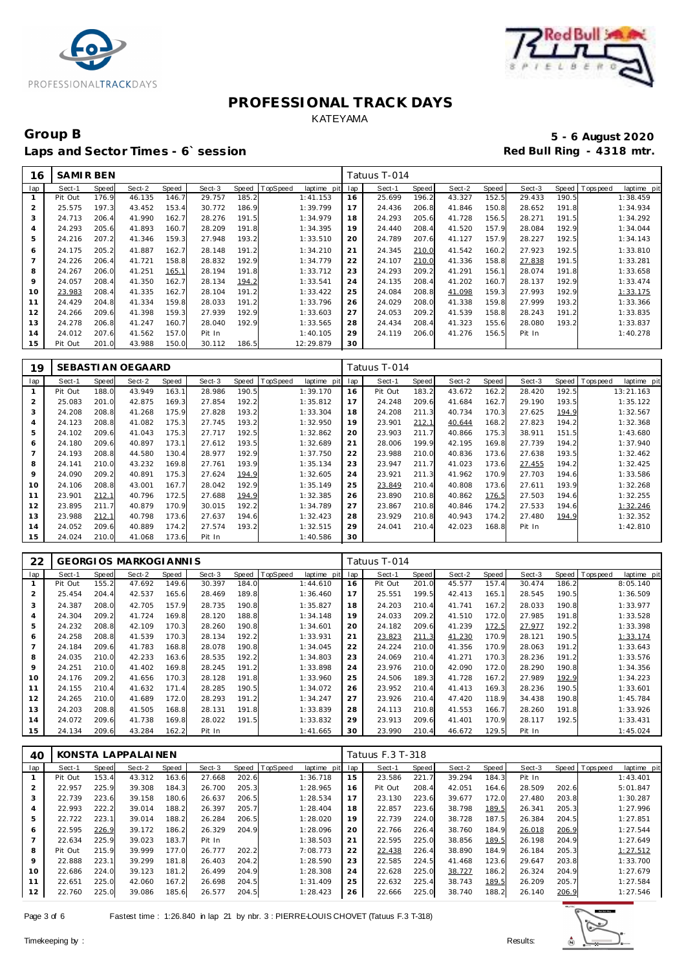



### Group B<br> **Example 2020**<br>
Laps and Sector Times - 6`session<br> **Example 2020**<br>
Red Bull Ring - 4318 mtr. Laps and Sector Times - 6`session

| 16             | <b>SAMIRBEN</b> |       |        |       |        |       |                 |             |     | Tatuus T-014 |       |        |       |        |       |                |             |
|----------------|-----------------|-------|--------|-------|--------|-------|-----------------|-------------|-----|--------------|-------|--------|-------|--------|-------|----------------|-------------|
| lap            | Sect-1          | Speed | Sect-2 | Speed | Sect-3 | Speed | <b>TopSpeed</b> | laptime pit | lap | Sect-1       | Speed | Sect-2 | Speed | Sect-3 |       | Speed Topspeed | laptime pit |
|                | Pit Out         | 176.9 | 46.135 | 146.7 | 29.757 | 185.2 |                 | 1:41.153    | 16  | 25.699       | 196.2 | 43.327 | 152.5 | 29.433 | 190.5 |                | 1:38.459    |
| 2              | 25.575          | 197.3 | 43.452 | 153.4 | 30.772 | 186.9 |                 | 1:39.799    | 17  | 24.436       | 206.8 | 41.846 | 150.8 | 28.652 | 191.8 |                | 1:34.934    |
| 3              | 24.713          | 206.4 | 41.990 | 162.7 | 28.276 | 191.5 |                 | 1:34.979    | 18  | 24.293       | 205.6 | 41.728 | 156.5 | 28.271 | 191.5 |                | 1:34.292    |
| 4              | 24.293          | 205.6 | 41.893 | 160.7 | 28.209 | 191.8 |                 | 1:34.395    | 19  | 24.440       | 208.4 | 41.520 | 157.9 | 28.084 | 192.9 |                | 1:34.044    |
| 5              | 24.216          | 207.2 | 41.346 | 159.3 | 27.948 | 193.2 |                 | 1:33.510    | 20  | 24.789       | 207.6 | 41.127 | 157.9 | 28.227 | 192.5 |                | 1:34.143    |
| 6              | 24.175          | 205.2 | 41.887 | 162.7 | 28.148 | 191.2 |                 | 1:34.210    | 21  | 24.345       | 210.0 | 41.542 | 160.2 | 27.923 | 192.5 |                | 1:33.810    |
| $\overline{7}$ | 24.226          | 206.4 | 41.721 | 158.8 | 28.832 | 192.9 |                 | 1:34.779    | 22  | 24.107       | 210.0 | 41.336 | 158.8 | 27.838 | 191.5 |                | 1:33.281    |
| 8              | 24.267          | 206.0 | 41.251 | 165.1 | 28.194 | 191.8 |                 | 1:33.712    | 23  | 24.293       | 209.2 | 41.291 | 156.1 | 28.074 | 191.8 |                | 1:33.658    |
| 9              | 24.057          | 208.4 | 41.350 | 162.7 | 28.134 | 194.2 |                 | 1:33.541    | 24  | 24.135       | 208.4 | 41.202 | 160.7 | 28.137 | 192.9 |                | 1:33.474    |
| 10             | 23.983          | 208.4 | 41.335 | 162.7 | 28.104 | 191.2 |                 | 1:33.422    | 25  | 24.084       | 208.8 | 41.098 | 159.3 | 27.993 | 192.9 |                | 1:33.175    |
| 11             | 24.429          | 204.8 | 41.334 | 159.8 | 28.033 | 191.2 |                 | 1:33.796    | 26  | 24.029       | 208.0 | 41.338 | 159.8 | 27.999 | 193.2 |                | 1:33.366    |
| 12             | 24.266          | 209.6 | 41.398 | 159.3 | 27.939 | 192.9 |                 | 1:33.603    | 27  | 24.053       | 209.2 | 41.539 | 158.8 | 28.243 | 191.2 |                | 1:33.835    |
| 13             | 24.278          | 206.8 | 41.247 | 160.7 | 28.040 | 192.9 |                 | 1:33.565    | 28  | 24.434       | 208.4 | 41.323 | 155.6 | 28.080 | 193.2 |                | 1:33.837    |
| 14             | 24.012          | 207.6 | 41.562 | 157.0 | Pit In |       |                 | 1:40.105    | 29  | 24.119       | 206.0 | 41.276 | 156.5 | Pit In |       |                | 1:40.278    |
| 15             | Pit Out         | 201.0 | 43.988 | 150.0 | 30.112 | 186.5 |                 | 12:29.879   | 30  |              |       |        |       |        |       |                |             |

| 19             |         |              | SEBASTI AN OEGAARD |       |        |       |          |             |     | Tatuus T-014 |       |        |       |        |       |          |             |
|----------------|---------|--------------|--------------------|-------|--------|-------|----------|-------------|-----|--------------|-------|--------|-------|--------|-------|----------|-------------|
| lap            | Sect-1  | <b>Speed</b> | Sect-2             | Speed | Sect-3 | Speed | TopSpeed | laptime pit | lap | Sect-1       | Speed | Sect-2 | Speed | Sect-3 | Speed | Topspeed | laptime pit |
|                | Pit Out | 188.0        | 43.949             | 163.1 | 28.986 | 190.5 |          | 1:39.170    | 16  | Pit Out      | 183.2 | 43.672 | 162.2 | 28.420 | 192.5 |          | 13:21.163   |
| $\overline{2}$ | 25.083  | 201.0        | 42.875             | 169.3 | 27.854 | 192.2 |          | 1:35.812    | 17  | 24.248       | 209.6 | 41.684 | 162.7 | 29.190 | 193.5 |          | 1:35.122    |
| 3              | 24.208  | 208.8        | 41.268             | 175.9 | 27.828 | 193.2 |          | 1:33.304    | 18  | 24.208       | 211.3 | 40.734 | 170.3 | 27.625 | 194.9 |          | 1:32.567    |
| $\overline{4}$ | 24.123  | 208.8        | 41.082             | 175.3 | 27.745 | 193.2 |          | 1:32.950    | 19  | 23.901       | 212.1 | 40.644 | 168.2 | 27.823 | 194.2 |          | 1:32.368    |
| 5              | 24.102  | 209.6        | 41.043             | 175.3 | 27.717 | 192.5 |          | 1:32.862    | 20  | 23.903       | 211.7 | 40.866 | 175.3 | 38.911 | 151.5 |          | 1:43.680    |
| 6              | 24.180  | 209.6        | 40.897             | 173.1 | 27.612 | 193.5 |          | 1:32.689    | 21  | 28.006       | 199.9 | 42.195 | 169.8 | 27.739 | 194.2 |          | 1:37.940    |
|                | 24.193  | 208.8        | 44.580             | 130.4 | 28.977 | 192.9 |          | 1:37.750    | 22  | 23.988       | 210.0 | 40.836 | 173.6 | 27.638 | 193.5 |          | 1:32.462    |
| 8              | 24.141  | 210.0        | 43.232             | 169.8 | 27.761 | 193.9 |          | 1:35.134    | 23  | 23.947       | 211.7 | 41.023 | 173.6 | 27.455 | 194.2 |          | 1:32.425    |
| 9              | 24.090  | 209.2        | 40.891             | 175.3 | 27.624 | 194.9 |          | 1:32.605    | 24  | 23.921       | 211.3 | 41.962 | 170.9 | 27.703 | 194.6 |          | 1:33.586    |
| 10             | 24.106  | 208.8        | 43.001             | 167.7 | 28.042 | 192.9 |          | 1:35.149    | 25  | 23.849       | 210.4 | 40.808 | 173.6 | 27.611 | 193.9 |          | 1:32.268    |
| 11             | 23.901  | 212.1        | 40.796             | 172.5 | 27.688 | 194.9 |          | 1:32.385    | 26  | 23.890       | 210.8 | 40.862 | 176.5 | 27.503 | 194.6 |          | 1:32.255    |
| 12             | 23.895  | 211.7        | 40.879             | 170.9 | 30.015 | 192.2 |          | 1:34.789    | 27  | 23.867       | 210.8 | 40.846 | 174.2 | 27.533 | 194.6 |          | 1:32.246    |
| 13             | 23.988  | 212.1        | 40.798             | 173.6 | 27.637 | 194.6 |          | 1:32.423    | 28  | 23.929       | 210.8 | 40.943 | 174.2 | 27.480 | 194.9 |          | 1:32.352    |
| 14             | 24.052  | 209.6        | 40.889             | 174.2 | 27.574 | 193.2 |          | 1:32.515    | 29  | 24.041       | 210.4 | 42.023 | 168.8 | Pit In |       |          | 1:42.810    |
| 15             | 24.024  | 210.0        | 41.068             | 173.6 | Pit In |       |          | 1:40.586    | 30  |              |       |        |       |        |       |          |             |

| 22  |         |       | <b>GEORGIOS MARKOGIANNIS</b> |       |        |       |          |             |     | Tatuus T-014 |       |        |       |        |       |          |             |
|-----|---------|-------|------------------------------|-------|--------|-------|----------|-------------|-----|--------------|-------|--------|-------|--------|-------|----------|-------------|
| lap | Sect-1  | Speed | Sect-2                       | Speed | Sect-3 | Speed | TopSpeed | laptime pit | lap | Sect-1       | Speed | Sect-2 | Speed | Sect-3 | Speed | Topspeed | laptime pit |
|     | Pit Out | 155.2 | 47.692                       | 149.6 | 30.397 | 184.0 |          | 1:44.610    | 16  | Pit Out      | 201.0 | 45.577 | 157.4 | 30.474 | 186.2 |          | 8:05.140    |
| 2   | 25.454  | 204.4 | 42.537                       | 165.6 | 28.469 | 189.8 |          | 1:36.460    | 17  | 25.551       | 199.5 | 42.413 | 165.1 | 28.545 | 190.5 |          | 1:36.509    |
| 3   | 24.387  | 208.0 | 42.705                       | 157.9 | 28.735 | 190.8 |          | 1:35.827    | 18  | 24.203       | 210.4 | 41.741 | 167.2 | 28.033 | 190.8 |          | 1:33.977    |
| 4   | 24.304  | 209.2 | 41.724                       | 169.8 | 28.120 | 188.8 |          | 1:34.148    | 19  | 24.033       | 209.2 | 41.510 | 172.0 | 27.985 | 191.8 |          | 1:33.528    |
| 5   | 24.232  | 208.8 | 42.109                       | 170.3 | 28.260 | 190.8 |          | 1:34.601    | 20  | 24.182       | 209.6 | 41.239 | 172.5 | 27.977 | 192.2 |          | 1:33.398    |
| 6   | 24.258  | 208.8 | 41.539                       | 170.3 | 28.134 | 192.2 |          | 1:33.931    | 21  | 23.823       | 211.3 | 41.230 | 170.9 | 28.121 | 190.5 |          | 1:33.174    |
|     | 24.184  | 209.6 | 41.783                       | 168.8 | 28.078 | 190.8 |          | 1:34.045    | 22  | 24.224       | 210.0 | 41.356 | 170.9 | 28.063 | 191.2 |          | 1:33.643    |
| 8   | 24.035  | 210.0 | 42.233                       | 163.6 | 28.535 | 192.2 |          | 1:34.803    | 23  | 24.069       | 210.4 | 41.271 | 170.3 | 28.236 | 191.2 |          | 1:33.576    |
| 9   | 24.251  | 210.0 | 41.402                       | 169.8 | 28.245 | 191.2 |          | 1:33.898    | 24  | 23.976       | 210.0 | 42.090 | 172.0 | 28.290 | 190.8 |          | 1:34.356    |
| 10  | 24.176  | 209.2 | 41.656                       | 170.3 | 28.128 | 191.8 |          | 1:33.960    | 25  | 24.506       | 189.3 | 41.728 | 167.2 | 27.989 | 192.9 |          | 1:34.223    |
| 11  | 24.155  | 210.4 | 41.632                       | 171.4 | 28.285 | 190.5 |          | 1:34.072    | 26  | 23.952       | 210.4 | 41.413 | 169.3 | 28.236 | 190.5 |          | 1:33.601    |
| 12  | 24.265  | 210.0 | 41.689                       | 172.0 | 28.293 | 191.2 |          | 1:34.247    | 27  | 23.926       | 210.4 | 47.420 | 118.9 | 34.438 | 190.8 |          | 1:45.784    |
| 13  | 24.203  | 208.8 | 41.505                       | 168.8 | 28.131 | 191.8 |          | 1:33.839    | 28  | 24.113       | 210.8 | 41.553 | 166.7 | 28.260 | 191.8 |          | 1:33.926    |
| 14  | 24.072  | 209.6 | 41.738                       | 169.8 | 28.022 | 191.5 |          | 1:33.832    | 29  | 23.913       | 209.6 | 41.401 | 170.9 | 28.117 | 192.5 |          | 1:33.431    |
| 15  | 24.134  | 209.6 | 43.284                       | 162.2 | Pit In |       |          | 1:41.665    | 30  | 23.990       | 210.4 | 46.672 | 129.5 | Pit In |       |          | 1:45.024    |

| 40             |         |       | KONSTA LAPPALAINEN |       |        |       |                  |                |     | Tatuus F.3 T-318 |       |        |       |        |       |                  |             |
|----------------|---------|-------|--------------------|-------|--------|-------|------------------|----------------|-----|------------------|-------|--------|-------|--------|-------|------------------|-------------|
| lap            | Sect-1  | Speed | Sect-2             | Speed | Sect-3 |       | Speed   TopSpeed | laptime<br>pit | lap | Sect-1           | Speed | Sect-2 | Speed | Sect-3 |       | Speed   Topspeed | laptime pit |
|                | Pit Out | 153.4 | 43.312             | 163.6 | 27.668 | 202.6 |                  | 1:36.718       | 15  | 23.586           | 221.7 | 39.294 | 184.3 | Pit In |       |                  | 1:43.401    |
| $\overline{2}$ | 22.957  | 225.9 | 39.308             | 184.3 | 26.700 | 205.3 |                  | 1:28.965       | 16  | Pit Out          | 208.4 | 42.051 | 164.6 | 28.509 | 202.6 |                  | 5:01.847    |
| 3              | 22.739  | 223.6 | 39.158             | 180.6 | 26.637 | 206.5 |                  | 1:28.534       | 17  | 23.130           | 223.6 | 39.677 | 172.0 | 27.480 | 203.8 |                  | 1:30.287    |
| 4              | 22.993  | 222.2 | 39.014             | 188.2 | 26.397 | 205.7 |                  | 1:28.404       | 18  | 22.857           | 223.6 | 38.798 | 189.5 | 26.341 | 205.3 |                  | 1:27.996    |
| 5              | 22.722  | 223.1 | 39.014             | 188.2 | 26.284 | 206.5 |                  | 1:28.020       | 19  | 22.739           | 224.0 | 38.728 | 187.5 | 26.384 | 204.5 |                  | 1:27.851    |
| 6              | 22.595  | 226.9 | 39.172             | 186.2 | 26.329 | 204.9 |                  | 1:28.096       | 20  | 22.766           | 226.4 | 38.760 | 184.9 | 26.018 | 206.9 |                  | 1:27.544    |
|                | 22.634  | 225.9 | 39.023             | 183.7 | Pit In |       |                  | 1:38.503       | 21  | 22.595           | 225.0 | 38.856 | 189.5 | 26.198 | 204.9 |                  | 1:27.649    |
| 8              | Pit Out | 215.9 | 39.999             | 177.0 | 26.777 | 202.2 |                  | 7:08.773       | 22  | 22.438           | 226.4 | 38.890 | 184.9 | 26.184 | 205.3 |                  | 1:27.512    |
| 9              | 22.888  | 223.1 | 39.299             | 181.8 | 26.403 | 204.2 |                  | 1:28.590       | 23  | 22.585           | 224.5 | 41.468 | 123.6 | 29.647 | 203.8 |                  | 1:33.700    |
| 10             | 22.686  | 224.0 | 39.123             | 181.2 | 26.499 | 204.9 |                  | 1:28.308       | 24  | 22.628           | 225.0 | 38.727 | 186.2 | 26.324 | 204.9 |                  | 1:27.679    |
| 11             | 22.651  | 225.0 | 42.060             | 167.2 | 26.698 | 204.5 |                  | 1:31.409       | 25  | 22.632           | 225.4 | 38.743 | 189.5 | 26.209 | 205.7 |                  | 1:27.584    |
| 12             | 22.760  | 225.0 | 39.086             | 185.6 | 26.577 | 204.5 |                  | 1:28.423       | 26  | 22.666           | 225.0 | 38.740 | 188.2 | 26.140 | 206.9 |                  | 1:27.546    |

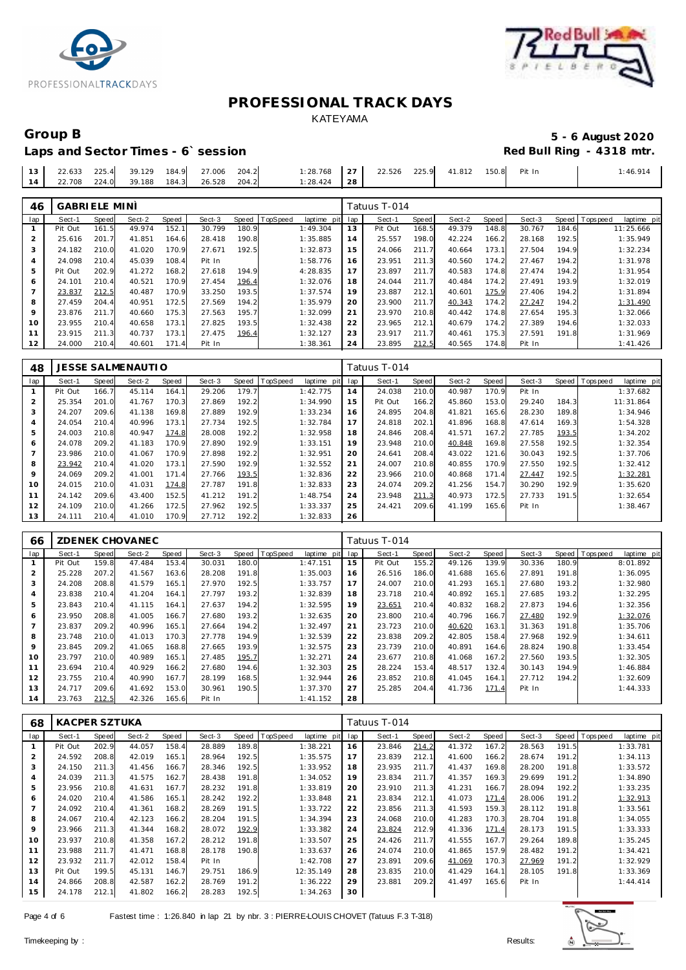



## Laps and Sector Times - 6`session

# Group B<br> **Example 2020**<br>
Laps and Sector Times - 6`session<br> **Example 2020**<br>
Red Bull Ring - 4318 mtr.

| 2.633          | 225A | 39.129<br>the contract of the contract of the | 184.9 | 27.006 | 204.2 | : 28.768 | $\sim$ -<br>∠ | 22.526 | 225Q | 41.812<br>the contract of the contract of the contract of | 150.8 | Pit In | .46.914 |
|----------------|------|-----------------------------------------------|-------|--------|-------|----------|---------------|--------|------|-----------------------------------------------------------|-------|--------|---------|
| .708<br>$\cap$ | 2240 | 39.188                                        | 184.3 | 26.528 | 204.2 | : 28.424 | . 28          |        |      |                                                           |       |        |         |

| 46      | <b>GABRIELE MINI</b> |       |        |       |        |       |          |             |     | Tatuus T-014 |       |        |       |        |       |                               |
|---------|----------------------|-------|--------|-------|--------|-------|----------|-------------|-----|--------------|-------|--------|-------|--------|-------|-------------------------------|
| lap     | Sect-1               | Speed | Sect-2 | Speed | Sect-3 | Speed | TopSpeed | laptime pit | lap | Sect-1       | Speed | Sect-2 | Speed | Sect-3 |       | Speed Topspeed<br>laptime pit |
|         | Pit Out              | 161.5 | 49.974 | 152.1 | 30.799 | 180.9 |          | 1:49.304    | 13  | Pit Out      | 168.5 | 49.379 | 148.8 | 30.767 | 184.6 | 11:25.666                     |
|         | 25.616               | 201.7 | 41.851 | 164.6 | 28.418 | 190.8 |          | 1:35.885    | 14  | 25.557       | 198.0 | 42.224 | 166.2 | 28.168 | 192.5 | 1:35.949                      |
|         | 24.182               | 210.0 | 41.020 | 170.9 | 27.671 | 192.5 |          | 1:32.873    | 15  | 24.066       | 211.7 | 40.664 | 173.1 | 27.504 | 194.9 | 1:32.234                      |
| 4       | 24.098               | 210.4 | 45.039 | 108.4 | Pit In |       |          | 1:58.776    | 16  | 23.951       | 211.3 | 40.560 | 174.2 | 27.467 | 194.2 | 1:31.978                      |
| 5       | Pit Out              | 202.9 | 41.272 | 168.2 | 27.618 | 194.9 |          | 4:28.835    | 17  | 23.897       | 211.7 | 40.583 | 174.8 | 27.474 | 194.2 | 1:31.954                      |
| 6       | 24.101               | 210.4 | 40.521 | 170.9 | 27.454 | 196.4 |          | 1:32.076    | 18  | 24.044       | 211.7 | 40.484 | 174.2 | 27.491 | 193.9 | 1:32.019                      |
|         | 23.837               | 212.5 | 40.487 | 170.9 | 33.250 | 193.5 |          | 1:37.574    | 19  | 23.887       | 212.1 | 40.601 | 175.9 | 27.406 | 194.2 | 1:31.894                      |
| 8       | 27.459               | 204.4 | 40.951 | 172.5 | 27.569 | 194.2 |          | 1:35.979    | 20  | 23.900       | 211.7 | 40.343 | 174.2 | 27.247 | 194.2 | 1:31.490                      |
| $\circ$ | 23.876               | 211.7 | 40.660 | 175.3 | 27.563 | 195.7 |          | 1:32.099    | 21  | 23.970       | 210.8 | 40.442 | 174.8 | 27.654 | 195.3 | 1:32.066                      |
| 10      | 23.955               | 210.4 | 40.658 | 173.1 | 27.825 | 193.5 |          | 1:32.438    | 22  | 23.965       | 212.1 | 40.679 | 174.2 | 27.389 | 194.6 | 1:32.033                      |
| 11      | 23.915               | 211.3 | 40.737 | 173.1 | 27.475 | 196.4 |          | 1:32.127    | 23  | 23.917       | 211.7 | 40.461 | 175.3 | 27.591 | 191.8 | 1:31.969                      |
| 12      | 24.000               | 210.4 | 40.601 | 171.4 | Pit In |       |          | 1:38.361    | 24  | 23.895       | 212.5 | 40.565 | 174.8 | Pit In |       | 1:41.426                      |

| 48  |         |       | <b>JESSE SALMENAUTIO</b> |       |        |       |          |             |     | Fatuus T-014 |       |        |       |        |       |           |             |
|-----|---------|-------|--------------------------|-------|--------|-------|----------|-------------|-----|--------------|-------|--------|-------|--------|-------|-----------|-------------|
| lap | Sect-1  | Speed | Sect-2                   | Speed | Sect-3 | Speed | TopSpeed | laptime pit | lap | Sect-1       | Speed | Sect-2 | Speed | Sect-3 | Speed | Tops peed | laptime pit |
|     | Pit Out | 166.7 | 45.114                   | 164.1 | 29.206 | 179.7 |          | 1:42.775    | 14  | 24.038       | 210.0 | 40.987 | 170.9 | Pit In |       |           | 1:37.682    |
|     | 25.354  | 201.0 | 41.767                   | 170.3 | 27.869 | 192.2 |          | 1:34.990    | 15  | Pit Out      | 166.2 | 45.860 | 153.0 | 29.240 | 184.3 |           | 11:31.864   |
| 3   | 24.207  | 209.6 | 41.138                   | 169.8 | 27.889 | 192.9 |          | 1:33.234    | 16  | 24.895       | 204.8 | 41.821 | 165.6 | 28.230 | 189.8 |           | 1:34.946    |
| 4   | 24.054  | 210.4 | 40.996                   | 173.1 | 27.734 | 192.5 |          | 1:32.784    | 17  | 24.818       | 202.1 | 41.896 | 168.8 | 47.614 | 169.3 |           | 1:54.328    |
| 5   | 24.003  | 210.8 | 40.947                   | 174.8 | 28.008 | 192.2 |          | 1:32.958    | 18  | 24.846       | 208.4 | 41.571 | 167.2 | 27.785 | 193.5 |           | 1:34.202    |
| 6   | 24.078  | 209.2 | 41.183                   | 170.9 | 27.890 | 192.9 |          | 1:33.151    | 19  | 23.948       | 210.0 | 40.848 | 169.8 | 27.558 | 192.5 |           | 1:32.354    |
|     | 23.986  | 210.0 | 41.067                   | 170.9 | 27.898 | 192.2 |          | 1:32.951    | 20  | 24.641       | 208.4 | 43.022 | 121.6 | 30.043 | 192.5 |           | 1:37.706    |
| 8   | 23.942  | 210.4 | 41.020                   | 173.1 | 27.590 | 192.9 |          | 1:32.552    | 21  | 24.007       | 210.8 | 40.855 | 170.9 | 27.550 | 192.5 |           | 1:32.412    |
| 9   | 24.069  | 209.2 | 41.001                   | 171.4 | 27.766 | 193.5 |          | 1:32.836    | 22  | 23.966       | 210.0 | 40.868 | 171.4 | 27.447 | 192.5 |           | 1:32.281    |
| 10  | 24.015  | 210.0 | 41.031                   | 174.8 | 27.787 | 191.8 |          | 1:32.833    | 23  | 24.074       | 209.2 | 41.256 | 154.7 | 30.290 | 192.9 |           | 1:35.620    |
| 11  | 24.142  | 209.6 | 43.400                   | 152.5 | 41.212 | 191.2 |          | 1:48.754    | 24  | 23.948       | 211.3 | 40.973 | 172.5 | 27.733 | 191.5 |           | 1:32.654    |
| 12  | 24.109  | 210.0 | 41.266                   | 172.5 | 27.962 | 192.5 |          | 1:33.337    | 25  | 24.421       | 209.6 | 41.199 | 165.6 | Pit In |       |           | 1:38.467    |
| 13  | 24.111  | 210.4 | 41.010                   | 170.9 | 27.712 | 192.2 |          | 1:32.833    | 26  |              |       |        |       |        |       |           |             |

| 66  |         |       | ZDENEK CHOVANEC |       |        |       |                 |             |     | Tatuus T-014 |       |        |       |        |       |                |             |
|-----|---------|-------|-----------------|-------|--------|-------|-----------------|-------------|-----|--------------|-------|--------|-------|--------|-------|----------------|-------------|
| lap | Sect-1  | Speed | Sect-2          | Speed | Sect-3 | Speed | <b>TopSpeed</b> | laptime pit | lap | Sect-1       | Speed | Sect-2 | Speed | Sect-3 |       | Speed Topspeed | laptime pit |
|     | Pit Out | 159.8 | 47.484          | 153.4 | 30.031 | 180.0 |                 | 1:47.151    | 15  | Pit Out      | 155.2 | 49.126 | 139.9 | 30.336 | 180.9 |                | 8:01.892    |
|     | 25.228  | 207.2 | 41.567          | 163.6 | 28.208 | 191.8 |                 | 1:35.003    | 16  | 26.516       | 186.0 | 41.688 | 165.6 | 27.891 | 191.8 |                | 1:36.095    |
| 3   | 24.208  | 208.8 | 41.579          | 165.1 | 27.970 | 192.5 |                 | 1:33.757    | 17  | 24.007       | 210.0 | 41.293 | 165.1 | 27.680 | 193.2 |                | 1:32.980    |
| 4   | 23.838  | 210.4 | 41.204          | 164.1 | 27.797 | 193.2 |                 | 1:32.839    | 18  | 23.718       | 210.4 | 40.892 | 165.1 | 27.685 | 193.2 |                | 1:32.295    |
| 5   | 23.843  | 210.4 | 41.115          | 164.1 | 27.637 | 194.2 |                 | 1:32.595    | 19  | 23.651       | 210.4 | 40.832 | 168.2 | 27.873 | 194.6 |                | 1:32.356    |
| 6   | 23.950  | 208.8 | 41.005          | 166.7 | 27.680 | 193.2 |                 | 1:32.635    | 20  | 23.800       | 210.4 | 40.796 | 166.7 | 27.480 | 192.9 |                | 1:32.076    |
|     | 23.837  | 209.2 | 40.996          | 165.1 | 27.664 | 194.2 |                 | 1:32.497    | 21  | 23.723       | 210.0 | 40.620 | 163.1 | 31.363 | 191.8 |                | 1:35.706    |
| 8   | 23.748  | 210.0 | 41.013          | 170.3 | 27.778 | 194.9 |                 | 1:32.539    | 22  | 23.838       | 209.2 | 42.805 | 158.4 | 27.968 | 192.9 |                | 1:34.611    |
| 9   | 23.845  | 209.2 | 41.065          | 168.8 | 27.665 | 193.9 |                 | 1:32.575    | 23  | 23.739       | 210.0 | 40.891 | 164.6 | 28.824 | 190.8 |                | 1:33.454    |
| 10  | 23.797  | 210.0 | 40.989          | 165.1 | 27.485 | 195.7 |                 | 1:32.271    | 24  | 23.677       | 210.8 | 41.068 | 167.2 | 27.560 | 193.5 |                | 1:32.305    |
| 11  | 23.694  | 210.4 | 40.929          | 166.2 | 27.680 | 194.6 |                 | 1:32.303    | 25  | 28.224       | 153.4 | 48.517 | 132.4 | 30.143 | 194.9 |                | 1:46.884    |
| 12  | 23.755  | 210.4 | 40.990          | 167.7 | 28.199 | 168.5 |                 | 1:32.944    | 26  | 23.852       | 210.8 | 41.045 | 164.1 | 27.712 | 194.2 |                | 1:32.609    |
| 13  | 24.717  | 209.6 | 41.692          | 153.0 | 30.961 | 190.5 |                 | 1:37.370    | 27  | 25.285       | 204.4 | 41.736 | 171.4 | Pit In |       |                | 1:44.333    |
| 14  | 23.763  | 212.5 | 42.326          | 165.6 | Pit In |       |                 | 1:41.152    | 28  |              |       |        |       |        |       |                |             |

| 68  | <b>KACPER SZTUKA</b> |       |        |       |        |       |          |                |     | Tatuus T-014 |       |        |       |        |       |                   |             |
|-----|----------------------|-------|--------|-------|--------|-------|----------|----------------|-----|--------------|-------|--------|-------|--------|-------|-------------------|-------------|
| lap | Sect-1               | Speed | Sect-2 | Speed | Sect-3 | Speed | TopSpeed | laptime<br>pit | lap | Sect-1       | Speed | Sect-2 | Speed | Sect-3 | Speed | <b>T</b> ops peed | laptime pit |
|     | Pit Out              | 202.9 | 44.057 | 158.4 | 28.889 | 189.8 |          | 1:38.221       | 16  | 23.846       | 214.2 | 41.372 | 167.2 | 28.563 | 191.5 |                   | 1:33.781    |
| 2   | 24.592               | 208.8 | 42.019 | 165.1 | 28.964 | 192.5 |          | 1:35.575       | 17  | 23.839       | 212.1 | 41.600 | 166.2 | 28.674 | 191.2 |                   | 1:34.113    |
| 3   | 24.150               | 211.3 | 41.456 | 166.7 | 28.346 | 192.5 |          | 1:33.952       | 18  | 23.935       | 211.7 | 41.437 | 169.8 | 28.200 | 191.8 |                   | 1:33.572    |
| 4   | 24.039               | 211.3 | 41.575 | 162.7 | 28.438 | 191.8 |          | 1:34.052       | 19  | 23.834       | 211.7 | 41.357 | 169.3 | 29.699 | 191.2 |                   | 1:34.890    |
| 5   | 23.956               | 210.8 | 41.631 | 167.7 | 28.232 | 191.8 |          | 1:33.819       | 20  | 23.910       | 211.3 | 41.231 | 166.7 | 28.094 | 192.2 |                   | 1:33.235    |
| 6   | 24.020               | 210.4 | 41.586 | 165.1 | 28.242 | 192.2 |          | 1:33.848       | 21  | 23.834       | 212.1 | 41.073 | 171.4 | 28.006 | 191.2 |                   | 1:32.913    |
|     | 24.092               | 210.4 | 41.361 | 168.2 | 28.269 | 191.5 |          | 1:33.722       | 22  | 23.856       | 211.3 | 41.593 | 159.3 | 28.112 | 191.8 |                   | 1:33.561    |
| 8   | 24.067               | 210.4 | 42.123 | 166.2 | 28.204 | 191.5 |          | 1:34.394       | 23  | 24.068       | 210.0 | 41.283 | 170.3 | 28.704 | 191.8 |                   | 1:34.055    |
| 9   | 23.966               | 211.3 | 41.344 | 168.2 | 28.072 | 192.9 |          | 1:33.382       | 24  | 23.824       | 212.9 | 41.336 | 171.4 | 28.173 | 191.5 |                   | 1:33.333    |
| 10  | 23.937               | 210.8 | 41.358 | 167.2 | 28.212 | 191.8 |          | 1:33.507       | 25  | 24.426       | 211.7 | 41.555 | 167.7 | 29.264 | 189.8 |                   | 1:35.245    |
| 11  | 23.988               | 211.7 | 41.471 | 168.8 | 28.178 | 190.8 |          | 1:33.637       | 26  | 24.074       | 210.0 | 41.865 | 157.9 | 28.482 | 191.2 |                   | 1:34.421    |
| 12  | 23.932               | 211.7 | 42.012 | 158.4 | Pit In |       |          | 1:42.708       | 27  | 23.891       | 209.6 | 41.069 | 170.3 | 27.969 | 191.2 |                   | 1:32.929    |
| 13  | Pit Out              | 199.5 | 45.131 | 146.7 | 29.751 | 186.9 |          | 12:35.149      | 28  | 23.835       | 210.0 | 41.429 | 164.1 | 28.105 | 191.8 |                   | 1:33.369    |
| 14  | 24.866               | 208.8 | 42.587 | 162.2 | 28.769 | 191.2 |          | 1:36.222       | 29  | 23.881       | 209.2 | 41.497 | 165.6 | Pit In |       |                   | 1:44.414    |
| 15  | 24.178               | 212.1 | 41.802 | 166.2 | 28.283 | 192.5 |          | 1:34.263       | 30  |              |       |        |       |        |       |                   |             |

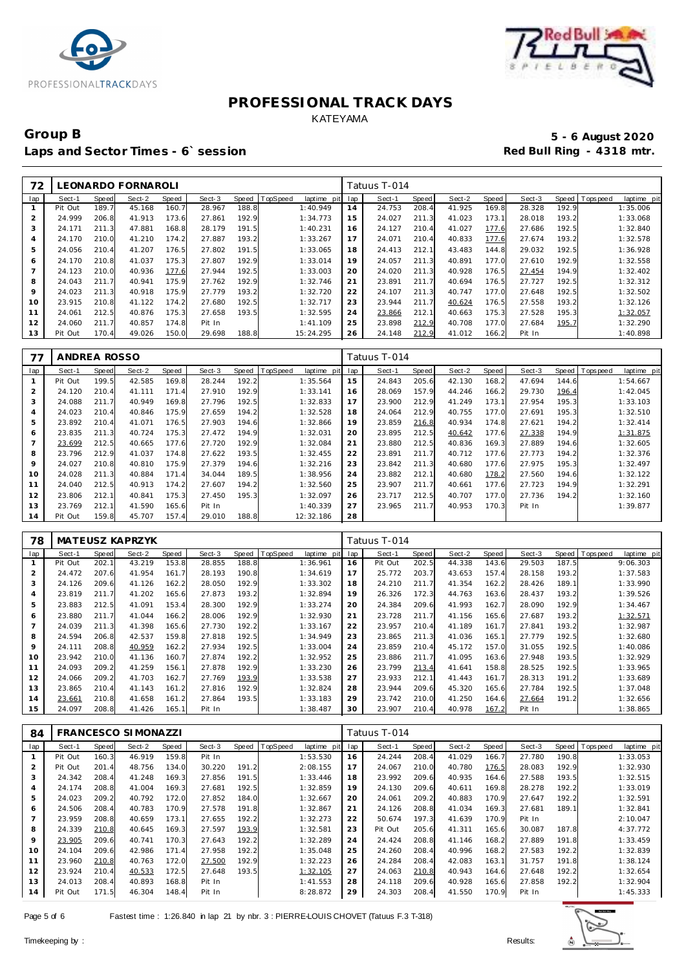



### Group B<br> **Example 2020**<br>
Laps and Sector Times - 6`session<br> **Example 2020**<br>
Red Bull Ring - 4318 mtr. Laps and Sector Times - 6`session

| 72             |         |              | LEONARDO FORNAROLI |       |        |       |          |                |     | Fatuus T-014 |       |        |       |        |       |           |             |
|----------------|---------|--------------|--------------------|-------|--------|-------|----------|----------------|-----|--------------|-------|--------|-------|--------|-------|-----------|-------------|
| lap            | Sect-1  | <b>Speed</b> | Sect-2             | Speed | Sect-3 | Speed | TopSpeed | laptime<br>pit | lap | Sect-1       | Speed | Sect-2 | Speed | Sect-3 | Speed | Tops peed | laptime pit |
|                | Pit Out | 189.7        | 45.168             | 160.7 | 28.967 | 188.8 |          | 1:40.949       | 14  | 24.753       | 208.4 | 41.925 | 169.8 | 28.328 | 192.9 |           | 1:35.006    |
| $\overline{2}$ | 24.999  | 206.8        | 41.913             | 173.6 | 27.861 | 192.9 |          | 1:34.773       | 15  | 24.027       | 211.3 | 41.023 | 173.1 | 28.018 | 193.2 |           | 1:33.068    |
| 3              | 24.171  | 211.3        | 47.881             | 168.8 | 28.179 | 191.5 |          | 1:40.231       | 16  | 24.127       | 210.4 | 41.027 | 177.6 | 27.686 | 192.5 |           | 1:32.840    |
| 4              | 24.170  | 210.0        | 41.210             | 174.2 | 27.887 | 193.2 |          | 1:33.267       | 17  | 24.071       | 210.4 | 40.833 | 177.6 | 27.674 | 193.2 |           | 1:32.578    |
| 5              | 24.056  | 210.4        | 41.207             | 176.5 | 27.802 | 191.5 |          | 1:33.065       | 18  | 24.413       | 212.1 | 43.483 | 144.8 | 29.032 | 192.5 |           | 1:36.928    |
| 6              | 24.170  | 210.8        | 41.037             | 175.3 | 27.807 | 192.9 |          | 1:33.014       | 19  | 24.057       | 211.3 | 40.891 | 177.0 | 27.610 | 192.9 |           | 1:32.558    |
| $\overline{7}$ | 24.123  | 210.0        | 40.936             | 177.6 | 27.944 | 192.5 |          | 1:33.003       | 20  | 24.020       | 211.3 | 40.928 | 176.5 | 27.454 | 194.9 |           | 1:32.402    |
| 8              | 24.043  | 211.7        | 40.941             | 175.9 | 27.762 | 192.9 |          | 1:32.746       | 21  | 23.891       | 211.7 | 40.694 | 176.5 | 27.727 | 192.5 |           | 1:32.312    |
| 9              | 24.023  | 211.3        | 40.918             | 175.9 | 27.779 | 193.2 |          | 1:32.720       | 22  | 24.107       | 211.3 | 40.747 | 177.0 | 27.648 | 192.5 |           | 1:32.502    |
| 10             | 23.915  | 210.8        | 41.122             | 174.2 | 27.680 | 192.5 |          | 1:32.717       | 23  | 23.944       | 211.7 | 40.624 | 176.5 | 27.558 | 193.2 |           | 1:32.126    |
| 11             | 24.061  | 212.5        | 40.876             | 175.3 | 27.658 | 193.5 |          | 1:32.595       | 24  | 23.866       | 212.1 | 40.663 | 175.3 | 27.528 | 195.3 |           | 1:32.057    |
| 12             | 24.060  | 211.7        | 40.857             | 174.8 | Pit In |       |          | 1:41.109       | 25  | 23.898       | 212.9 | 40.708 | 177.0 | 27.684 | 195.7 |           | 1:32.290    |
| 13             | Pit Out | 170.4        | 49.026             | 150.0 | 29.698 | 188.8 |          | 15:24.295      | 26  | 24.148       | 212.9 | 41.012 | 166.2 | Pit In |       |           | 1:40.898    |

| 77             | ANDREA ROSSO |       |        |       |        |       |          |                 |     | Tatuus T-014 |       |        |       |        |       |                |             |
|----------------|--------------|-------|--------|-------|--------|-------|----------|-----------------|-----|--------------|-------|--------|-------|--------|-------|----------------|-------------|
| lap            | Sect-1       | Speed | Sect-2 | Speed | Sect-3 | Speed | TopSpeed | laptime<br>pitl | lap | Sect-1       | Speed | Sect-2 | Speed | Sect-3 |       | Speed Topspeed | laptime pit |
|                | Pit Out      | 199.5 | 42.585 | 169.8 | 28.244 | 192.2 |          | 1:35.564        | 15  | 24.843       | 205.6 | 42.130 | 168.2 | 47.694 | 144.6 |                | 1:54.667    |
| $\overline{2}$ | 24.120       | 210.4 | 41.111 | 171.4 | 27.910 | 192.9 |          | 1:33.141        | 16  | 28.069       | 157.9 | 44.246 | 166.2 | 29.730 | 196.4 |                | 1:42.045    |
| 3              | 24.088       | 211.7 | 40.949 | 169.8 | 27.796 | 192.5 |          | 1:32.833        | 17  | 23.900       | 212.9 | 41.249 | 173.1 | 27.954 | 195.3 |                | 1:33.103    |
| $\overline{4}$ | 24.023       | 210.4 | 40.846 | 175.9 | 27.659 | 194.2 |          | 1:32.528        | 18  | 24.064       | 212.9 | 40.755 | 177.0 | 27.691 | 195.3 |                | 1:32.510    |
| 5              | 23.892       | 210.4 | 41.071 | 176.5 | 27.903 | 194.6 |          | 1:32.866        | 19  | 23.859       | 216.8 | 40.934 | 174.8 | 27.621 | 194.2 |                | 1:32.414    |
| 6              | 23.835       | 211.3 | 40.724 | 175.3 | 27.472 | 194.9 |          | 1:32.031        | 20  | 23.895       | 212.5 | 40.642 | 177.6 | 27.338 | 194.9 |                | 1:31.875    |
|                | 23.699       | 212.5 | 40.665 | 177.6 | 27.720 | 192.9 |          | 1:32.084        | 21  | 23.880       | 212.5 | 40.836 | 169.3 | 27.889 | 194.6 |                | 1:32.605    |
| 8              | 23.796       | 212.9 | 41.037 | 174.8 | 27.622 | 193.5 |          | 1:32.455        | 22  | 23.891       | 211.7 | 40.712 | 177.6 | 27.773 | 194.2 |                | 1:32.376    |
| 9              | 24.027       | 210.8 | 40.810 | 175.9 | 27.379 | 194.6 |          | 1:32.216        | 23  | 23.842       | 211.3 | 40.680 | 177.6 | 27.975 | 195.3 |                | 1:32.497    |
| 10             | 24.028       | 211.3 | 40.884 | 171.4 | 34.044 | 189.5 |          | 1:38.956        | 24  | 23.882       | 212.1 | 40.680 | 178.2 | 27.560 | 194.6 |                | 1:32.122    |
| 11             | 24.040       | 212.5 | 40.913 | 174.2 | 27.607 | 194.2 |          | 1:32.560        | 25  | 23.907       | 211.7 | 40.661 | 177.6 | 27.723 | 194.9 |                | 1:32.291    |
| 12             | 23.806       | 212.1 | 40.841 | 175.3 | 27.450 | 195.3 |          | 1:32.097        | 26  | 23.717       | 212.5 | 40.707 | 177.0 | 27.736 | 194.2 |                | 1:32.160    |
| 13             | 23.769       | 212.1 | 41.590 | 165.6 | Pit In |       |          | 1:40.339        | 27  | 23.965       | 211.7 | 40.953 | 170.3 | Pit In |       |                | 1:39.877    |
| 14             | Pit Out      | 159.8 | 45.707 | 157.4 | 29.010 | 188.8 |          | 12:32.186       | 28  |              |       |        |       |        |       |                |             |

| 78             |         |       | MATEUSZ KAPRZYK |       |        |       |                 |             |     | Tatuus T-014 |       |        |       |        |       |                   |             |
|----------------|---------|-------|-----------------|-------|--------|-------|-----------------|-------------|-----|--------------|-------|--------|-------|--------|-------|-------------------|-------------|
| lap            | Sect-1  | Speed | Sect-2          | Speed | Sect-3 | Speed | <b>TopSpeed</b> | laptime pit | lap | Sect-1       | Speed | Sect-2 | Speed | Sect-3 | Speed | <b>T</b> ops peed | laptime pit |
|                | Pit Out | 202.1 | 43.219          | 153.8 | 28.855 | 188.8 |                 | 1:36.961    | 16  | Pit Out      | 202.5 | 44.338 | 143.6 | 29.503 | 187.5 |                   | 9:06.303    |
|                | 24.472  | 207.6 | 41.954          | 161.7 | 28.193 | 190.8 |                 | 1:34.619    | 17  | 25.772       | 203.7 | 43.653 | 157.4 | 28.158 | 193.2 |                   | 1:37.583    |
| 3              | 24.126  | 209.6 | 41.126          | 162.2 | 28.050 | 192.9 |                 | 1:33.302    | 18  | 24.210       | 211.7 | 41.354 | 162.2 | 28.426 | 189.1 |                   | 1:33.990    |
| $\overline{A}$ | 23.819  | 211.7 | 41.202          | 165.6 | 27.873 | 193.2 |                 | 1:32.894    | 19  | 26.326       | 172.3 | 44.763 | 163.6 | 28.437 | 193.2 |                   | 1:39.526    |
| 5              | 23.883  | 212.5 | 41.091          | 153.4 | 28.300 | 192.9 |                 | 1:33.274    | 20  | 24.384       | 209.6 | 41.993 | 162.7 | 28.090 | 192.9 |                   | 1:34.467    |
| 6              | 23.880  | 211.7 | 41.044          | 166.2 | 28.006 | 192.9 |                 | 1:32.930    | 21  | 23.728       | 211.7 | 41.156 | 165.6 | 27.687 | 193.2 |                   | 1:32.571    |
|                | 24.039  | 211.3 | 41.398          | 165.6 | 27.730 | 192.2 |                 | 1:33.167    | 22  | 23.957       | 210.4 | 41.189 | 161.7 | 27.841 | 193.2 |                   | 1:32.987    |
| 8              | 24.594  | 206.8 | 42.537          | 159.8 | 27.818 | 192.5 |                 | 1:34.949    | 23  | 23.865       | 211.3 | 41.036 | 165.1 | 27.779 | 192.5 |                   | 1:32.680    |
| 9              | 24.111  | 208.8 | 40.959          | 162.2 | 27.934 | 192.5 |                 | 1:33.004    | 24  | 23.859       | 210.4 | 45.172 | 157.0 | 31.055 | 192.5 |                   | 1:40.086    |
| 10             | 23.942  | 210.0 | 41.136          | 160.7 | 27.874 | 192.2 |                 | 1:32.952    | 25  | 23.886       | 211.7 | 41.095 | 163.6 | 27.948 | 193.5 |                   | 1:32.929    |
| 11             | 24.093  | 209.2 | 41.259          | 156.1 | 27.878 | 192.9 |                 | 1:33.230    | 26  | 23.799       | 213.4 | 41.641 | 158.8 | 28.525 | 192.5 |                   | 1:33.965    |
| 12             | 24.066  | 209.2 | 41.703          | 162.7 | 27.769 | 193.9 |                 | 1:33.538    | 27  | 23.933       | 212.1 | 41.443 | 161.7 | 28.313 | 191.2 |                   | 1:33.689    |
| 13             | 23.865  | 210.4 | 41.143          | 161.2 | 27.816 | 192.9 |                 | 1:32.824    | 28  | 23.944       | 209.6 | 45.320 | 165.6 | 27.784 | 192.5 |                   | 1:37.048    |
| 14             | 23.661  | 210.8 | 41.658          | 161.2 | 27.864 | 193.5 |                 | 1:33.183    | 29  | 23.742       | 210.0 | 41.250 | 164.6 | 27.664 | 191.2 |                   | 1:32.656    |
| 15             | 24.097  | 208.8 | 41.426          | 165.1 | Pit In |       |                 | 1:38.487    | 30  | 23.907       | 210.4 | 40.978 | 167.2 | Pit In |       |                   | 1:38.865    |

| 84             |         |              | <b>FRANCESCO SIMONAZZI</b> |       |        |       |                 |             |     | Tatuus T-014 |       |        |       |        |       |            |             |
|----------------|---------|--------------|----------------------------|-------|--------|-------|-----------------|-------------|-----|--------------|-------|--------|-------|--------|-------|------------|-------------|
| lap            | Sect-1  | <b>Speed</b> | Sect-2                     | Speed | Sect-3 | Speed | <b>TopSpeed</b> | laptime pit | lap | Sect-1       | Speed | Sect-2 | Speed | Sect-3 | Speed | T ops peed | laptime pit |
|                | Pit Out | 160.3        | 46.919                     | 159.8 | Pit In |       |                 | 1:53.530    | 16  | 24.244       | 208.4 | 41.029 | 166.7 | 27.780 | 190.8 |            | 1:33.053    |
| $\overline{2}$ | Pit Out | 201.4        | 48.756                     | 134.0 | 30.220 | 191.2 |                 | 2:08.155    | 17  | 24.067       | 210.0 | 40.780 | 176.5 | 28.083 | 192.9 |            | 1:32.930    |
| 3              | 24.342  | 208.4        | 41.248                     | 169.3 | 27.856 | 191.5 |                 | 1:33.446    | 18  | 23.992       | 209.6 | 40.935 | 164.6 | 27.588 | 193.5 |            | 1:32.515    |
| 4              | 24.174  | 208.8        | 41.004                     | 169.3 | 27.681 | 192.5 |                 | 1:32.859    | 19  | 24.130       | 209.6 | 40.611 | 169.8 | 28.278 | 192.2 |            | 1:33.019    |
| 5              | 24.023  | 209.2        | 40.792                     | 172.0 | 27.852 | 184.0 |                 | 1:32.667    | 20  | 24.061       | 209.2 | 40.883 | 170.9 | 27.647 | 192.2 |            | 1:32.591    |
| 6              | 24.506  | 208.4        | 40.783                     | 170.9 | 27.578 | 191.8 |                 | 1:32.867    | 21  | 24.126       | 208.8 | 41.034 | 169.3 | 27.681 | 189.1 |            | 1:32.841    |
|                | 23.959  | 208.8        | 40.659                     | 173.1 | 27.655 | 192.2 |                 | 1:32.273    | 22  | 50.674       | 197.3 | 41.639 | 170.9 | Pit In |       |            | 2:10.047    |
| 8              | 24.339  | 210.8        | 40.645                     | 169.3 | 27.597 | 193.9 |                 | 1:32.581    | 23  | Pit Out      | 205.6 | 41.311 | 165.6 | 30.087 | 187.8 |            | 4:37.772    |
| 9              | 23.905  | 209.6        | 40.741                     | 170.3 | 27.643 | 192.2 |                 | 1:32.289    | 24  | 24.424       | 208.8 | 41.146 | 168.2 | 27.889 | 191.8 |            | 1:33.459    |
| 10             | 24.104  | 209.6        | 42.986                     | 171.4 | 27.958 | 192.2 |                 | 1:35.048    | 25  | 24.260       | 208.4 | 40.996 | 168.2 | 27.583 | 192.2 |            | 1:32.839    |
| 11             | 23.960  | 210.8        | 40.763                     | 172.0 | 27.500 | 192.9 |                 | 1:32.223    | 26  | 24.284       | 208.4 | 42.083 | 163.1 | 31.757 | 191.8 |            | 1:38.124    |
| 12             | 23.924  | 210.4        | 40.533                     | 172.5 | 27.648 | 193.5 |                 | 1:32.105    | 27  | 24.063       | 210.8 | 40.943 | 164.6 | 27.648 | 192.2 |            | 1:32.654    |
| 13             | 24.013  | 208.4        | 40.893                     | 168.8 | Pit In |       |                 | 1:41.553    | 28  | 24.118       | 209.6 | 40.928 | 165.6 | 27.858 | 192.2 |            | 1:32.904    |
| 14             | Pit Out | 171.5        | 46.304                     | 148.4 | Pit In |       |                 | 8:28.872    | 29  | 24.303       | 208.4 | 41.550 | 170.9 | Pit In |       |            | 1:45.333    |